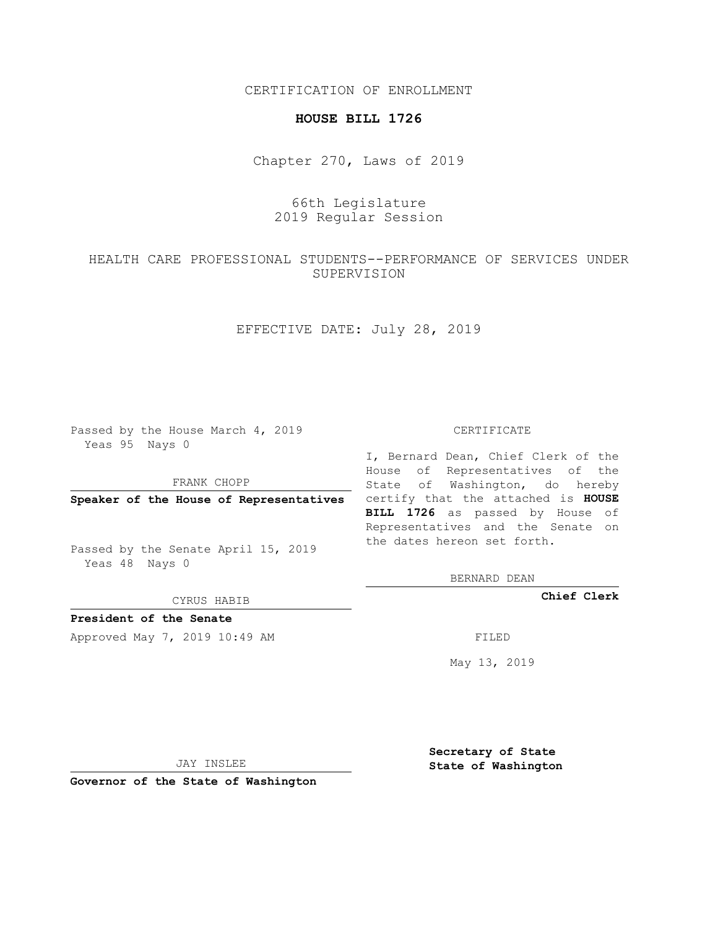CERTIFICATION OF ENROLLMENT

#### **HOUSE BILL 1726**

Chapter 270, Laws of 2019

# 66th Legislature 2019 Regular Session

## HEALTH CARE PROFESSIONAL STUDENTS--PERFORMANCE OF SERVICES UNDER SUPERVISION

## EFFECTIVE DATE: July 28, 2019

Passed by the House March 4, 2019 Yeas 95 Nays 0

FRANK CHOPP

Passed by the Senate April 15, 2019 Yeas 48 Nays 0

CYRUS HABIB

### **President of the Senate**

Approved May 7, 2019 10:49 AM FILED

#### CERTIFICATE

**Speaker of the House of Representatives** certify that the attached is **HOUSE** I, Bernard Dean, Chief Clerk of the House of Representatives of the State of Washington, do hereby **BILL 1726** as passed by House of Representatives and the Senate on the dates hereon set forth.

BERNARD DEAN

**Chief Clerk**

May 13, 2019

JAY INSLEE

**Governor of the State of Washington**

**Secretary of State State of Washington**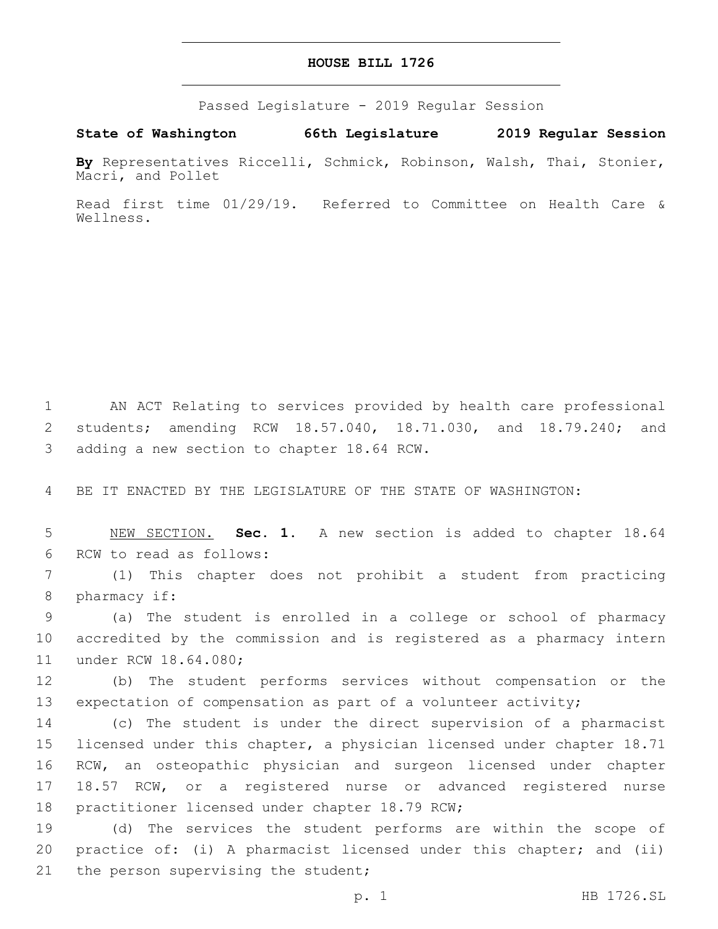#### **HOUSE BILL 1726**

Passed Legislature - 2019 Regular Session

**State of Washington 66th Legislature 2019 Regular Session**

**By** Representatives Riccelli, Schmick, Robinson, Walsh, Thai, Stonier, Macri, and Pollet

Read first time 01/29/19. Referred to Committee on Health Care & Wellness.

1 AN ACT Relating to services provided by health care professional 2 students; amending RCW 18.57.040, 18.71.030, and 18.79.240; and 3 adding a new section to chapter 18.64 RCW.

4 BE IT ENACTED BY THE LEGISLATURE OF THE STATE OF WASHINGTON:

5 NEW SECTION. **Sec. 1.** A new section is added to chapter 18.64 6 RCW to read as follows:

7 (1) This chapter does not prohibit a student from practicing 8 pharmacy if:

9 (a) The student is enrolled in a college or school of pharmacy 10 accredited by the commission and is registered as a pharmacy intern 11 under RCW 18.64.080;

12 (b) The student performs services without compensation or the 13 expectation of compensation as part of a volunteer activity;

 (c) The student is under the direct supervision of a pharmacist licensed under this chapter, a physician licensed under chapter 18.71 RCW, an osteopathic physician and surgeon licensed under chapter 18.57 RCW, or a registered nurse or advanced registered nurse 18 practitioner licensed under chapter 18.79 RCW;

19 (d) The services the student performs are within the scope of 20 practice of: (i) A pharmacist licensed under this chapter; and (ii) 21 the person supervising the student;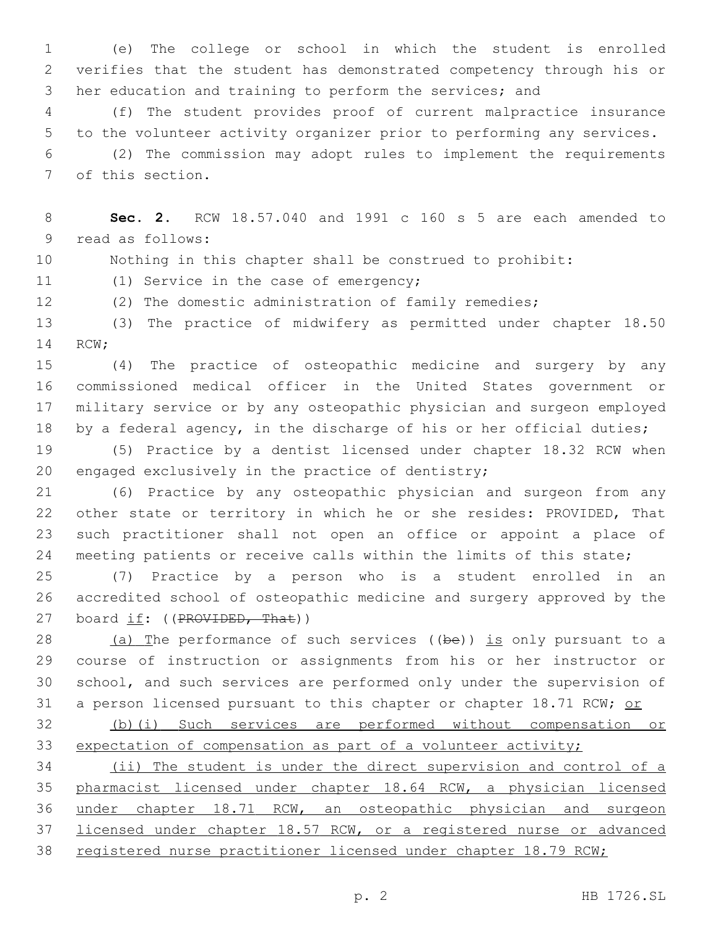(e) The college or school in which the student is enrolled verifies that the student has demonstrated competency through his or her education and training to perform the services; and

 (f) The student provides proof of current malpractice insurance to the volunteer activity organizer prior to performing any services. (2) The commission may adopt rules to implement the requirements

7 of this section.

 **Sec. 2.** RCW 18.57.040 and 1991 c 160 s 5 are each amended to 9 read as follows:

Nothing in this chapter shall be construed to prohibit:

11 (1) Service in the case of emergency;

(2) The domestic administration of family remedies;

 (3) The practice of midwifery as permitted under chapter 18.50 14 RCW;

 (4) The practice of osteopathic medicine and surgery by any commissioned medical officer in the United States government or military service or by any osteopathic physician and surgeon employed 18 by a federal agency, in the discharge of his or her official duties;

 (5) Practice by a dentist licensed under chapter 18.32 RCW when 20 engaged exclusively in the practice of dentistry;

 (6) Practice by any osteopathic physician and surgeon from any other state or territory in which he or she resides: PROVIDED, That such practitioner shall not open an office or appoint a place of 24 meeting patients or receive calls within the limits of this state;

 (7) Practice by a person who is a student enrolled in an accredited school of osteopathic medicine and surgery approved by the 27 board if: ((PROVIDED, That))

 (a) The performance of such services ((be)) is only pursuant to a course of instruction or assignments from his or her instructor or school, and such services are performed only under the supervision of 31 a person licensed pursuant to this chapter or chapter 18.71 RCW; or

 (b)(i) Such services are performed without compensation or expectation of compensation as part of a volunteer activity;

 (ii) The student is under the direct supervision and control of a pharmacist licensed under chapter 18.64 RCW, a physician licensed under chapter 18.71 RCW, an osteopathic physician and surgeon licensed under chapter 18.57 RCW, or a registered nurse or advanced registered nurse practitioner licensed under chapter 18.79 RCW;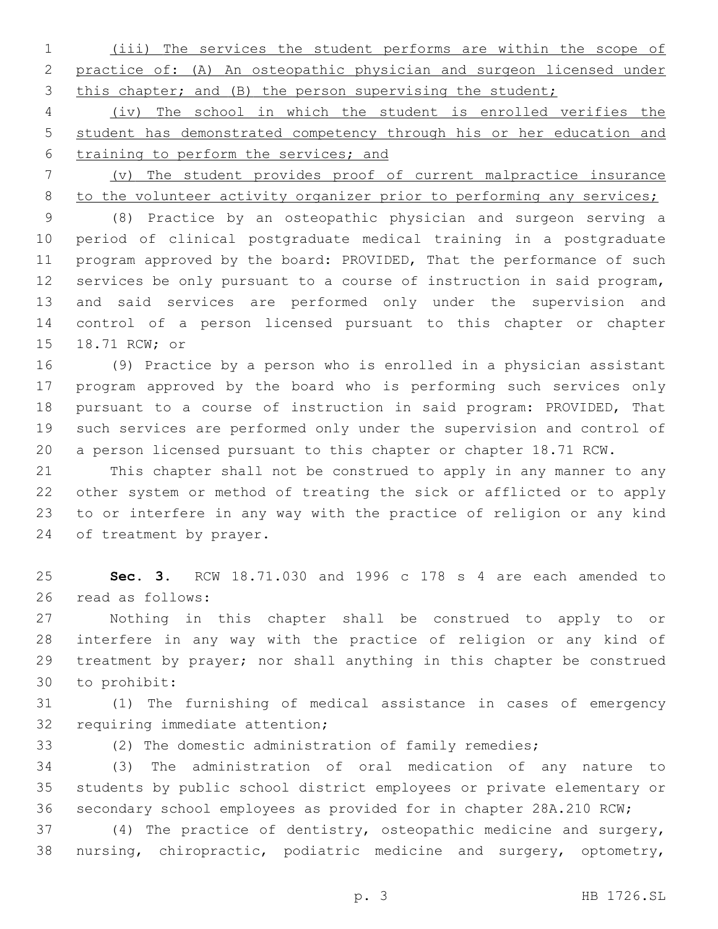(iii) The services the student performs are within the scope of practice of: (A) An osteopathic physician and surgeon licensed under 3 this chapter; and (B) the person supervising the student;

 (iv) The school in which the student is enrolled verifies the student has demonstrated competency through his or her education and training to perform the services; and

 (v) The student provides proof of current malpractice insurance 8 to the volunteer activity organizer prior to performing any services;

 (8) Practice by an osteopathic physician and surgeon serving a period of clinical postgraduate medical training in a postgraduate 11 program approved by the board: PROVIDED, That the performance of such services be only pursuant to a course of instruction in said program, and said services are performed only under the supervision and control of a person licensed pursuant to this chapter or chapter 15 18.71 RCW; or

 (9) Practice by a person who is enrolled in a physician assistant program approved by the board who is performing such services only pursuant to a course of instruction in said program: PROVIDED, That such services are performed only under the supervision and control of a person licensed pursuant to this chapter or chapter 18.71 RCW.

 This chapter shall not be construed to apply in any manner to any other system or method of treating the sick or afflicted or to apply to or interfere in any way with the practice of religion or any kind 24 of treatment by prayer.

 **Sec. 3.** RCW 18.71.030 and 1996 c 178 s 4 are each amended to 26 read as follows:

 Nothing in this chapter shall be construed to apply to or interfere in any way with the practice of religion or any kind of treatment by prayer; nor shall anything in this chapter be construed 30 to prohibit:

 (1) The furnishing of medical assistance in cases of emergency 32 requiring immediate attention;

(2) The domestic administration of family remedies;

 (3) The administration of oral medication of any nature to students by public school district employees or private elementary or secondary school employees as provided for in chapter 28A.210 RCW;

 (4) The practice of dentistry, osteopathic medicine and surgery, nursing, chiropractic, podiatric medicine and surgery, optometry,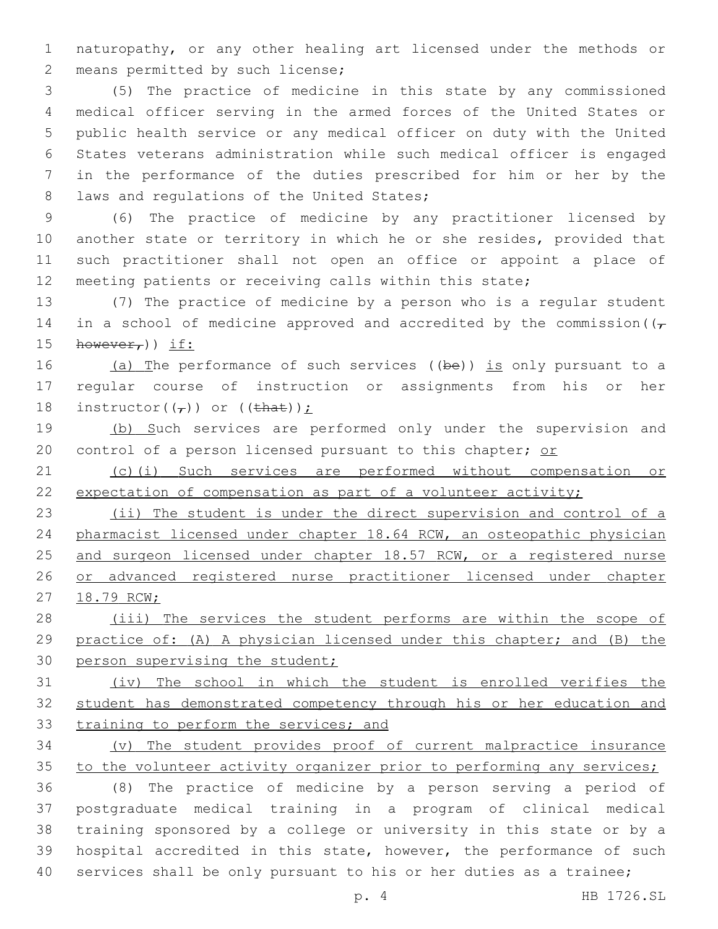naturopathy, or any other healing art licensed under the methods or 2 means permitted by such license;

 (5) The practice of medicine in this state by any commissioned medical officer serving in the armed forces of the United States or public health service or any medical officer on duty with the United States veterans administration while such medical officer is engaged in the performance of the duties prescribed for him or her by the 8 laws and regulations of the United States;

 (6) The practice of medicine by any practitioner licensed by another state or territory in which he or she resides, provided that such practitioner shall not open an office or appoint a place of meeting patients or receiving calls within this state;

 (7) The practice of medicine by a person who is a regular student 14 in a school of medicine approved and accredited by the commission ( $(\tau)$ 15  $hower_f)$ ) if:

16 (a) The performance of such services ((be)) is only pursuant to a regular course of instruction or assignments from his or her 18 instructor( $(\tau)$ ) or ( $(\theta + \theta)$ );

19 (b) Such services are performed only under the supervision and 20 control of a person licensed pursuant to this chapter; or

 (c)(i) Such services are performed without compensation or 22 expectation of compensation as part of a volunteer activity;

 (ii) The student is under the direct supervision and control of a pharmacist licensed under chapter 18.64 RCW, an osteopathic physician 25 and surgeon licensed under chapter 18.57 RCW, or a registered nurse or advanced registered nurse practitioner licensed under chapter 18.79 RCW;

28 (iii) The services the student performs are within the scope of practice of: (A) A physician licensed under this chapter; and (B) the 30 person supervising the student;

 (iv) The school in which the student is enrolled verifies the student has demonstrated competency through his or her education and 33 training to perform the services; and

 (v) The student provides proof of current malpractice insurance 35 to the volunteer activity organizer prior to performing any services;

 (8) The practice of medicine by a person serving a period of postgraduate medical training in a program of clinical medical training sponsored by a college or university in this state or by a hospital accredited in this state, however, the performance of such services shall be only pursuant to his or her duties as a trainee;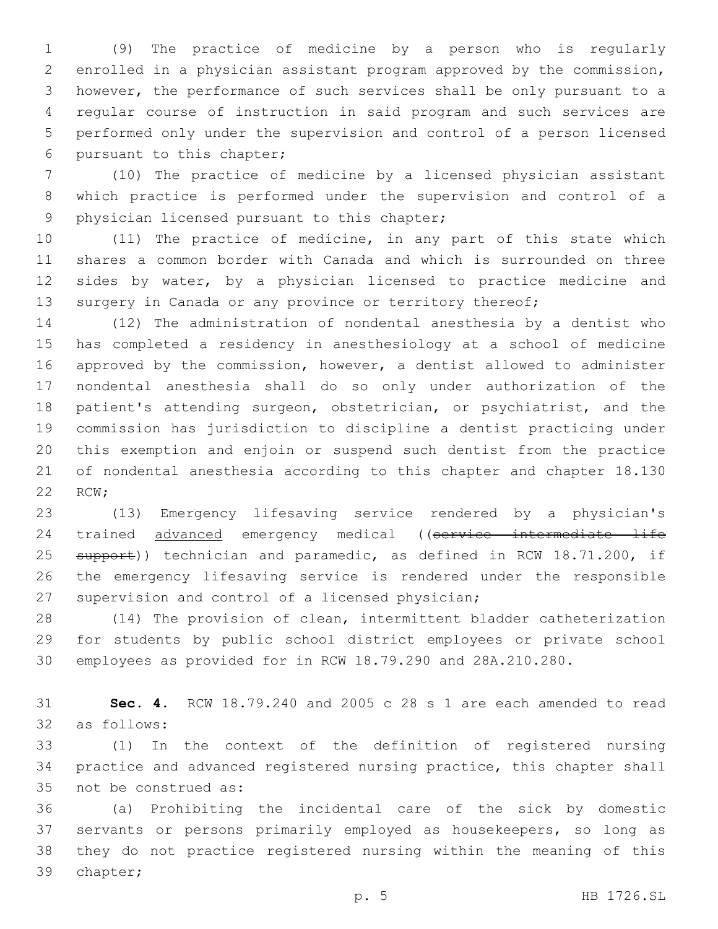(9) The practice of medicine by a person who is regularly enrolled in a physician assistant program approved by the commission, however, the performance of such services shall be only pursuant to a regular course of instruction in said program and such services are performed only under the supervision and control of a person licensed 6 pursuant to this chapter;

 (10) The practice of medicine by a licensed physician assistant which practice is performed under the supervision and control of a 9 physician licensed pursuant to this chapter;

 (11) The practice of medicine, in any part of this state which shares a common border with Canada and which is surrounded on three sides by water, by a physician licensed to practice medicine and 13 surgery in Canada or any province or territory thereof;

 (12) The administration of nondental anesthesia by a dentist who has completed a residency in anesthesiology at a school of medicine approved by the commission, however, a dentist allowed to administer nondental anesthesia shall do so only under authorization of the 18 patient's attending surgeon, obstetrician, or psychiatrist, and the commission has jurisdiction to discipline a dentist practicing under this exemption and enjoin or suspend such dentist from the practice of nondental anesthesia according to this chapter and chapter 18.130 22 RCW;

 (13) Emergency lifesaving service rendered by a physician's 24 trained advanced emergency medical ((service intermediate life 25 support)) technician and paramedic, as defined in RCW 18.71.200, if the emergency lifesaving service is rendered under the responsible 27 supervision and control of a licensed physician;

 (14) The provision of clean, intermittent bladder catheterization for students by public school district employees or private school employees as provided for in RCW 18.79.290 and 28A.210.280.

 **Sec. 4.** RCW 18.79.240 and 2005 c 28 s 1 are each amended to read 32 as follows:

 (1) In the context of the definition of registered nursing practice and advanced registered nursing practice, this chapter shall 35 not be construed as:

 (a) Prohibiting the incidental care of the sick by domestic servants or persons primarily employed as housekeepers, so long as they do not practice registered nursing within the meaning of this 39 chapter;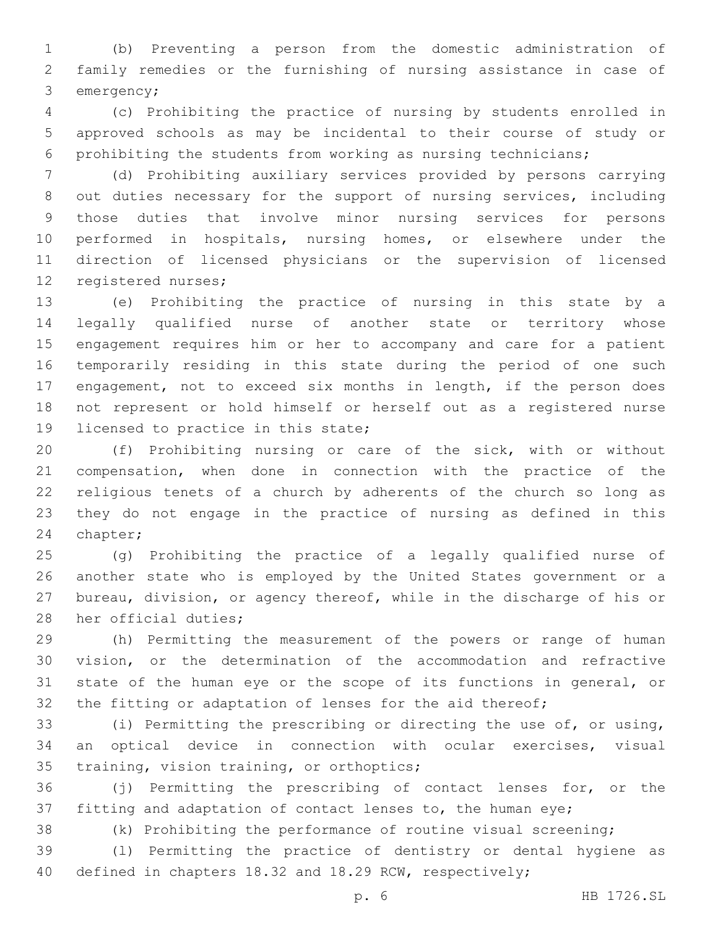(b) Preventing a person from the domestic administration of family remedies or the furnishing of nursing assistance in case of 3 emergency;

 (c) Prohibiting the practice of nursing by students enrolled in approved schools as may be incidental to their course of study or prohibiting the students from working as nursing technicians;

 (d) Prohibiting auxiliary services provided by persons carrying out duties necessary for the support of nursing services, including those duties that involve minor nursing services for persons performed in hospitals, nursing homes, or elsewhere under the direction of licensed physicians or the supervision of licensed 12 registered nurses;

 (e) Prohibiting the practice of nursing in this state by a legally qualified nurse of another state or territory whose engagement requires him or her to accompany and care for a patient temporarily residing in this state during the period of one such engagement, not to exceed six months in length, if the person does not represent or hold himself or herself out as a registered nurse 19 licensed to practice in this state;

 (f) Prohibiting nursing or care of the sick, with or without compensation, when done in connection with the practice of the religious tenets of a church by adherents of the church so long as they do not engage in the practice of nursing as defined in this 24 chapter;

 (g) Prohibiting the practice of a legally qualified nurse of another state who is employed by the United States government or a bureau, division, or agency thereof, while in the discharge of his or 28 her official duties;

 (h) Permitting the measurement of the powers or range of human vision, or the determination of the accommodation and refractive state of the human eye or the scope of its functions in general, or 32 the fitting or adaptation of lenses for the aid thereof;

 (i) Permitting the prescribing or directing the use of, or using, an optical device in connection with ocular exercises, visual 35 training, vision training, or orthoptics;

 (j) Permitting the prescribing of contact lenses for, or the fitting and adaptation of contact lenses to, the human eye;

(k) Prohibiting the performance of routine visual screening;

 (l) Permitting the practice of dentistry or dental hygiene as defined in chapters 18.32 and 18.29 RCW, respectively;

p. 6 HB 1726.SL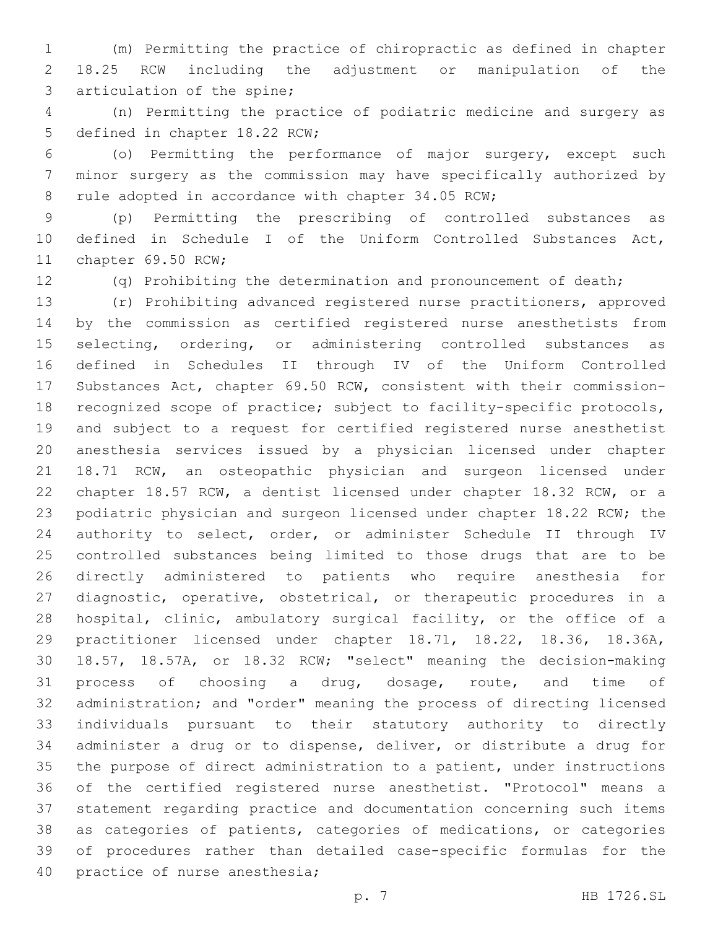(m) Permitting the practice of chiropractic as defined in chapter 18.25 RCW including the adjustment or manipulation of the 3 articulation of the spine;

 (n) Permitting the practice of podiatric medicine and surgery as 5 defined in chapter 18.22 RCW;

 (o) Permitting the performance of major surgery, except such minor surgery as the commission may have specifically authorized by 8 rule adopted in accordance with chapter 34.05 RCW;

 (p) Permitting the prescribing of controlled substances as defined in Schedule I of the Uniform Controlled Substances Act, 11 chapter 69.50 RCW;

(q) Prohibiting the determination and pronouncement of death;

 (r) Prohibiting advanced registered nurse practitioners, approved by the commission as certified registered nurse anesthetists from 15 selecting, ordering, or administering controlled substances as defined in Schedules II through IV of the Uniform Controlled Substances Act, chapter 69.50 RCW, consistent with their commission- recognized scope of practice; subject to facility-specific protocols, and subject to a request for certified registered nurse anesthetist anesthesia services issued by a physician licensed under chapter 18.71 RCW, an osteopathic physician and surgeon licensed under chapter 18.57 RCW, a dentist licensed under chapter 18.32 RCW, or a podiatric physician and surgeon licensed under chapter 18.22 RCW; the authority to select, order, or administer Schedule II through IV controlled substances being limited to those drugs that are to be directly administered to patients who require anesthesia for diagnostic, operative, obstetrical, or therapeutic procedures in a hospital, clinic, ambulatory surgical facility, or the office of a practitioner licensed under chapter 18.71, 18.22, 18.36, 18.36A, 18.57, 18.57A, or 18.32 RCW; "select" meaning the decision-making process of choosing a drug, dosage, route, and time of administration; and "order" meaning the process of directing licensed individuals pursuant to their statutory authority to directly administer a drug or to dispense, deliver, or distribute a drug for the purpose of direct administration to a patient, under instructions of the certified registered nurse anesthetist. "Protocol" means a statement regarding practice and documentation concerning such items as categories of patients, categories of medications, or categories of procedures rather than detailed case-specific formulas for the 40 practice of nurse anesthesia;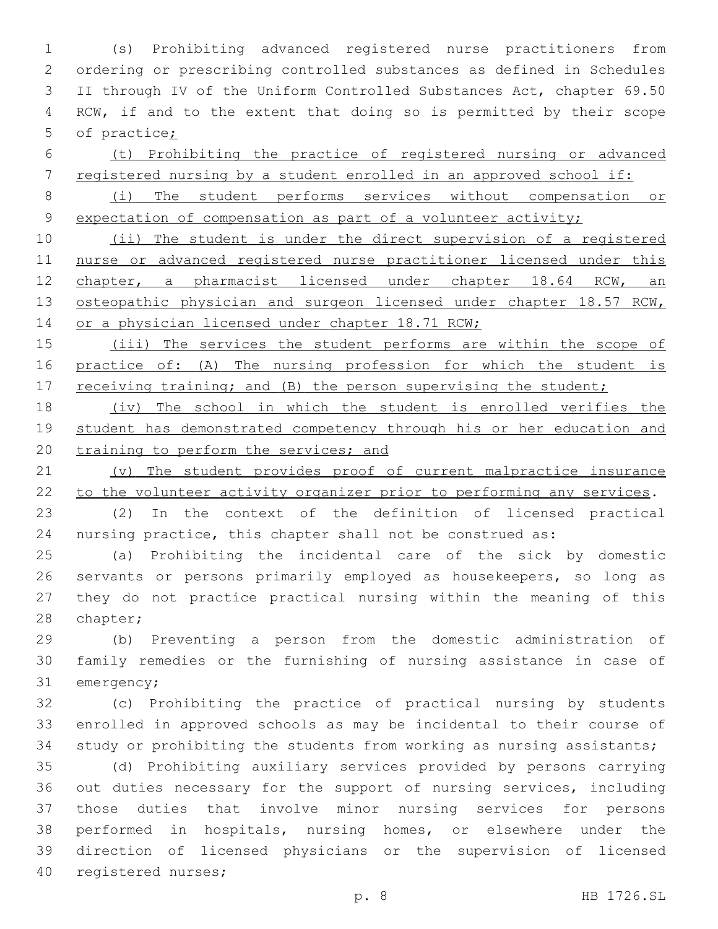(s) Prohibiting advanced registered nurse practitioners from ordering or prescribing controlled substances as defined in Schedules II through IV of the Uniform Controlled Substances Act, chapter 69.50 RCW, if and to the extent that doing so is permitted by their scope of practice;

 (t) Prohibiting the practice of registered nursing or advanced registered nursing by a student enrolled in an approved school if:

 (i) The student performs services without compensation or 9 expectation of compensation as part of a volunteer activity;

 (ii) The student is under the direct supervision of a registered nurse or advanced registered nurse practitioner licensed under this 12 chapter, a pharmacist licensed under chapter 18.64 RCW, an 13 osteopathic physician and surgeon licensed under chapter 18.57 RCW, 14 or a physician licensed under chapter 18.71 RCW;

 (iii) The services the student performs are within the scope of practice of: (A) The nursing profession for which the student is 17 receiving training; and (B) the person supervising the student;

 (iv) The school in which the student is enrolled verifies the 19 student has demonstrated competency through his or her education and 20 training to perform the services; and

 (v) The student provides proof of current malpractice insurance 22 to the volunteer activity organizer prior to performing any services.

 (2) In the context of the definition of licensed practical nursing practice, this chapter shall not be construed as:

 (a) Prohibiting the incidental care of the sick by domestic servants or persons primarily employed as housekeepers, so long as they do not practice practical nursing within the meaning of this 28 chapter;

 (b) Preventing a person from the domestic administration of family remedies or the furnishing of nursing assistance in case of 31 emergency;

 (c) Prohibiting the practice of practical nursing by students enrolled in approved schools as may be incidental to their course of study or prohibiting the students from working as nursing assistants;

 (d) Prohibiting auxiliary services provided by persons carrying out duties necessary for the support of nursing services, including those duties that involve minor nursing services for persons performed in hospitals, nursing homes, or elsewhere under the direction of licensed physicians or the supervision of licensed 40 registered nurses;